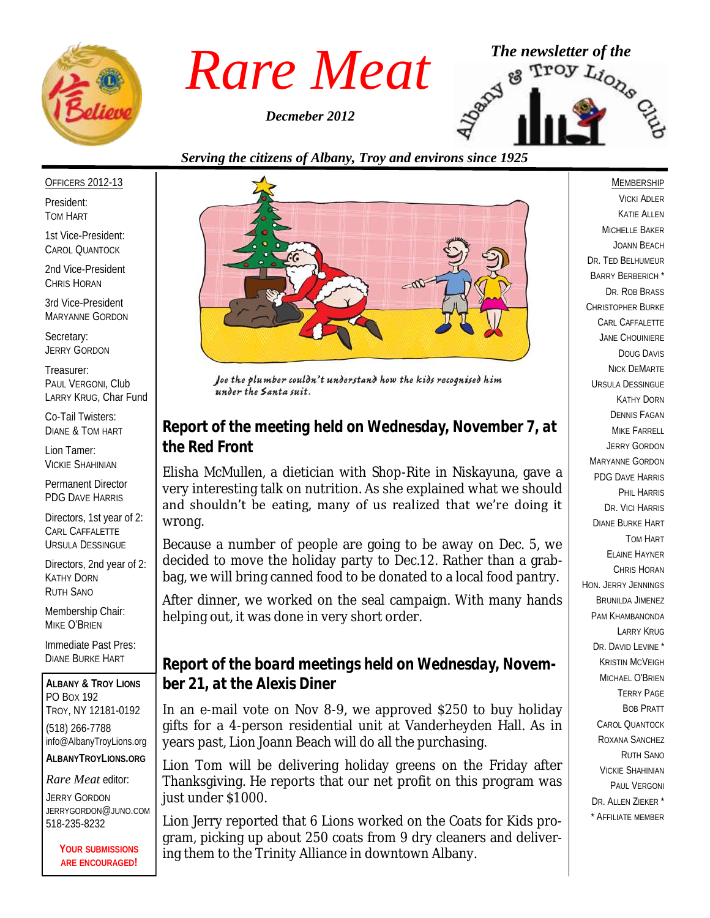

*Decmeber 2012*



*Serving the citizens of Albany, Troy and environs since 1925*

#### OFFICERS 2012-13

President: TOM HART

1st Vice-President: CAROL QUANTOCK

2nd Vice-President CHRIS HORAN

3rd Vice-President MARYANNE GORDON

Secretary: JERRY GORDON

Treasurer: PAUL VERGONI, Club LARRY KRUG, Char Fund

Co-Tail Twisters: DIANE & TOM HART

Lion Tamer: VICKIE SHAHINIAN

Permanent Director PDG DAVE HARRIS

Directors, 1st year of 2: CARL CAFFALETTE URSULA DESSINGUE

Directors, 2nd year of 2: KATHY DORN RUTH SANO

Membership Chair: MIKE O'BRIEN

Immediate Past Pres: DIANE BURKE HART

**ALBANY & TROY LIONS** PO BOX 192 TROY, NY 12181-0192 (518) 266-7788 info@AlbanyTroyLions.org **ALBANYTROYLIONS.ORG**

#### *Rare Meat* editor:

JERRY GORDON JERRYGORDON@JUNO.COM 518-235-8232

> **YOUR SUBMISSIONS ARE ENCOURAGED!**



Joe the plumber couldn't understand how the kids recognised him under the Santa suit.

#### *Report of the meeting held on Wednesday, November 7, at the Red Front*

Elisha McMullen, a dietician with Shop-Rite in Niskayuna, gave a very interesting talk on nutrition. As she explained what we should and shouldn't be eating, many of us realized that we're doing it wrong.

Because a number of people are going to be away on Dec. 5, we decided to move the holiday party to Dec.12. Rather than a grabbag, we will bring canned food to be donated to a local food pantry.

After dinner, we worked on the seal campaign. With many hands helping out, it was done in very short order.

#### *Report of the board meetings held on Wednesday, November 21, at the Alexis Diner*

In an e-mail vote on Nov 8-9, we approved \$250 to buy holiday gifts for a 4-person residential unit at Vanderheyden Hall. As in years past, Lion Joann Beach will do all the purchasing.

Lion Tom will be delivering holiday greens on the Friday after Thanksgiving. He reports that our net profit on this program was just under \$1000.

Lion Jerry reported that 6 Lions worked on the Coats for Kids program, picking up about 250 coats from 9 dry cleaners and delivering them to the Trinity Alliance in downtown Albany.

#### MEMBERSHIP

VICKI ADLER KATIE ALLEN MICHELLE BAKER JOANN BEACH DR. TED BELHUMEUR BARRY BERBERICH \* DR. ROB BRASS CHRISTOPHER BURKE CARL CAFFALETTE JANE CHOUINIERE DOUG DAVIS NICK DEMARTE URSULA DESSINGUE KATHY DORN DENNIS FAGAN MIKE FARRELL JERRY GORDON MARYANNE GORDON PDG DAVE HARRIS PHIL HARRIS DR. VICI HARRIS DIANE BURKE HART TOM HART ELAINE HAYNER CHRIS HORAN HON. JERRY JENNINGS BRUNILDA JIMENEZ PAM KHAMBANONDA LARRY KRUG DR. DAVID LEVINE<sup>\*</sup> KRISTIN MCVEIGH MICHAEL O'BRIEN TERRY PAGE BOB PRATT CAROL QUANTOCK ROXANA SANCHEZ RUTH SANO VICKIE SHAHINIAN PAUL VERGONI DR. ALLEN ZIEKER \* \* AFFILIATE MEMBER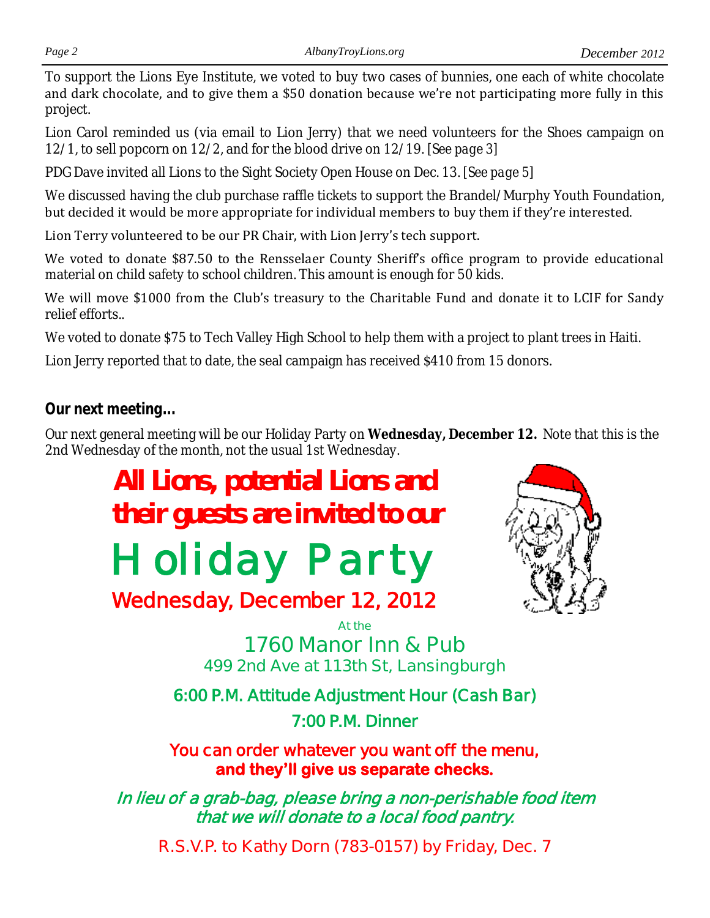To support the Lions Eye Institute, we voted to buy two cases of bunnies, one each of white chocolate and dark chocolate, and to give them a \$50 donation because we're not participating more fully in this project.

Lion Carol reminded us (via email to Lion Jerry) that we need volunteers for the Shoes campaign on 12/1, to sell popcorn on 12/2, and for the blood drive on 12/19. *[See page 3]*

PDG Dave invited all Lions to the Sight Society Open House on Dec. 13. *[See page 5]*

We discussed having the club purchase raffle tickets to support the Brandel/Murphy Youth Foundation, but decided it would be more appropriate for individual members to buy them if they're interested.

Lion Terry volunteered to be our PR Chair, with Lion Jerry's tech support.

We voted to donate \$87.50 to the Rensselaer County Sheriff's office program to provide educational material on child safety to school children. This amount is enough for 50 kids.

We will move \$1000 from the Club's treasury to the Charitable Fund and donate it to LCIF for Sandy relief efforts..

We voted to donate \$75 to Tech Valley High School to help them with a project to plant trees in Haiti.

Lion Jerry reported that to date, the seal campaign has received \$410 from 15 donors.

#### *Our next meeting...*

Our next general meeting will be our Holiday Party on **Wednesday, December 12.** Note that this is the 2nd Wednesday of the month, not the usual 1st Wednesday.

> **All Lions, potential Lions and their guests are invited to our**

# *Holiday Party*

# **Wednesday, December 12, 2012**



**At the 1760 Manor Inn & Pub 499 2nd Ave at 113th St, Lansingburgh**

**6:00 P.M. Attitude Adjustment Hour (Cash Bar) 7:00 P.M. Dinner** 

**You can order whatever you want off the menu, and they'll give us separate checks.** 

**In lieu of a grab-bag, please bring a non-perishable food item that we will donate to a local food pantry.** 

**R.S.V.P. to Kathy Dorn (783-0157) by Friday, Dec. 7**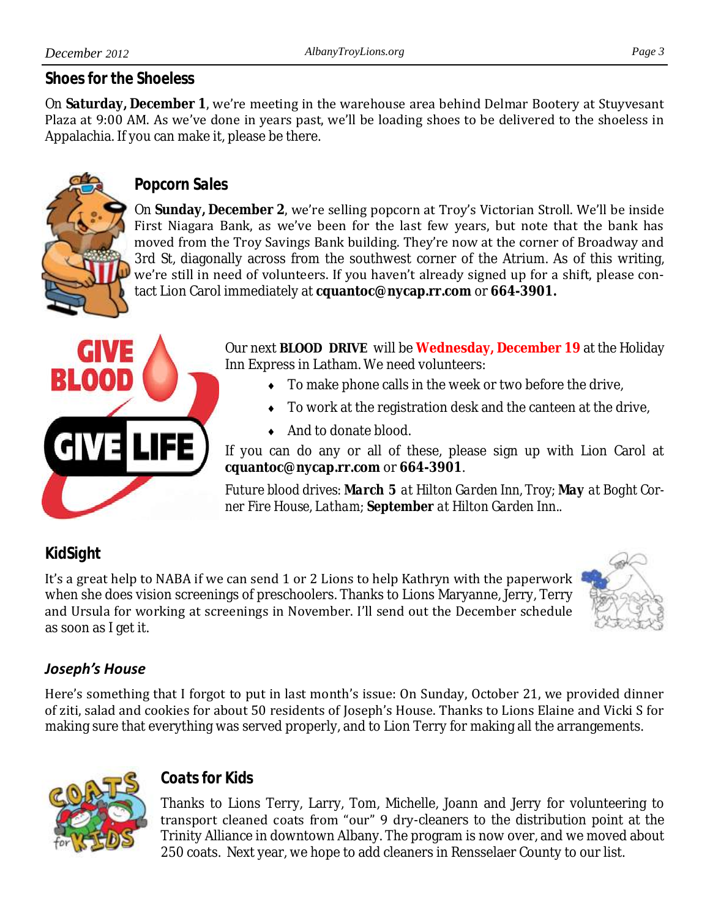#### *Shoes for the Shoeless*

On **Saturday, December 1**, we're meeting in the warehouse area behind Delmar Bootery at Stuyvesant Plaza at 9:00 AM. As we've done in years past, we'll be loading shoes to be delivered to the shoeless in Appalachia. If you can make it, please be there.



#### *Popcorn Sales*

On **Sunday, December 2**, we're selling popcorn at Troy's Victorian Stroll. We'll be inside First Niagara Bank, as we've been for the last few years, but note that the bank has moved from the Troy Savings Bank building. They're now at the corner of Broadway and 3rd St, diagonally across from the southwest corner of the Atrium. As of this writing, we're still in need of volunteers. If you haven't already signed up for a shift, please contact Lion Carol immediately at **cquantoc@nycap.rr.com** or **664-3901.**



Our next **BLOOD DRIVE** will be **Wednesday, December 19** at the Holiday Inn Express in Latham. We need volunteers:

- ◆ To make phone calls in the week or two before the drive,
- $\bullet$  To work at the registration desk and the canteen at the drive,
- ◆ And to donate blood.

If you can do any or all of these, please sign up with Lion Carol at **cquantoc@nycap.rr.com** or **664-3901**.

*Future blood drives: March 5 at Hilton Garden Inn, Troy; May at Boght Corner Fire House, Latham; September at Hilton Garden Inn..* 

## *KidSight*

It's a great help to NABA if we can send 1 or 2 Lions to help Kathryn with the paperwork when she does vision screenings of preschoolers. Thanks to Lions Maryanne, Jerry, Terry and Ursula for working at screenings in November. I'll send out the December schedule as soon as I get it.



### *Joseph's House*

Here's something that I forgot to put in last month's issue: On Sunday, October 21, we provided dinner of ziti, salad and cookies for about 50 residents of Joseph's House. Thanks to Lions Elaine and Vicki S for making sure that everything was served properly, and to Lion Terry for making all the arrangements.



#### *Coats for Kids*

Thanks to Lions Terry, Larry, Tom, Michelle, Joann and Jerry for volunteering to transport cleaned coats from "our" 9 dry-cleaners to the distribution point at the Trinity Alliance in downtown Albany. The program is now over, and we moved about 250 coats. Next year, we hope to add cleaners in Rensselaer County to our list.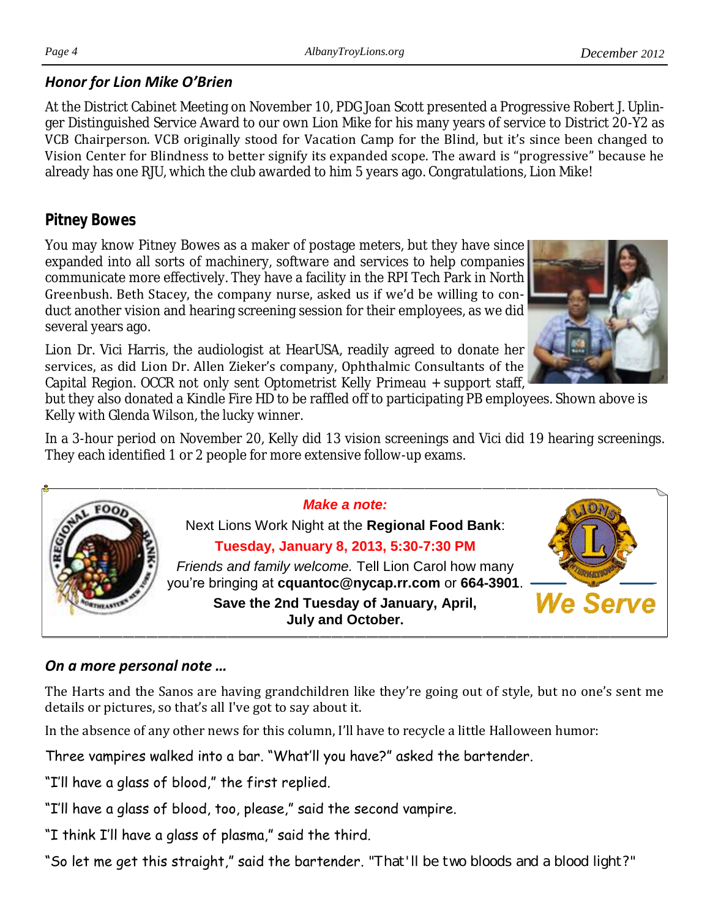#### *Honor for Lion Mike O'Brien*

At the District Cabinet Meeting on November 10, PDG Joan Scott presented a Progressive Robert J. Uplinger Distinguished Service Award to our own Lion Mike for his many years of service to District 20-Y2 as VCB Chairperson. VCB originally stood for Vacation Camp for the Blind, but it's since been changed to Vision Center for Blindness to better signify its expanded scope. The award is "progressive" because he already has one RJU, which the club awarded to him 5 years ago. Congratulations, Lion Mike!

#### *Pitney Bowes*

You may know Pitney Bowes as a maker of postage meters, but they have since expanded into all sorts of machinery, software and services to help companies communicate more effectively. They have a facility in the RPI Tech Park in North Greenbush. Beth Stacey, the company nurse, asked us if we'd be willing to conduct another vision and hearing screening session for their employees, as we did several years ago.

Lion Dr. Vici Harris, the audiologist at HearUSA, readily agreed to donate her services, as did Lion Dr. Allen Zieker's company, Ophthalmic Consultants of the Capital Region. OCCR not only sent Optometrist Kelly Primeau + support staff,

but they also donated a Kindle Fire HD to be raffled off to participating PB employees. Shown above is Kelly with Glenda Wilson, the lucky winner.

> *Make a note:* Next Lions Work Night at the **Regional Food Bank**: **Tuesday, January 8, 2013, 5:30-7:30 PM** *Friends and family welcome.* Tell Lion Carol how many

In a 3-hour period on November 20, Kelly did 13 vision screenings and Vici did 19 hearing screenings. They each identified 1 or 2 people for more extensive follow-up exams.



#### *On a more personal note …*

FOO

The Harts and the Sanos are having grandchildren like they're going out of style, but no one's sent me details or pictures, so that's all I've got to say about it.

In the absence of any other news for this column, I'll have to recycle a little Halloween humor:

Three vampires walked into a bar. "What'll you have?" asked the bartender.

"I'll have a glass of blood," the first replied.

- "I'll have a glass of blood, too, please," said the second vampire.
- "I think I'll have a glass of plasma," said the third.

"So let me get this straight," said the bartender. "That'll be two bloods and a blood light?"



**We Serve**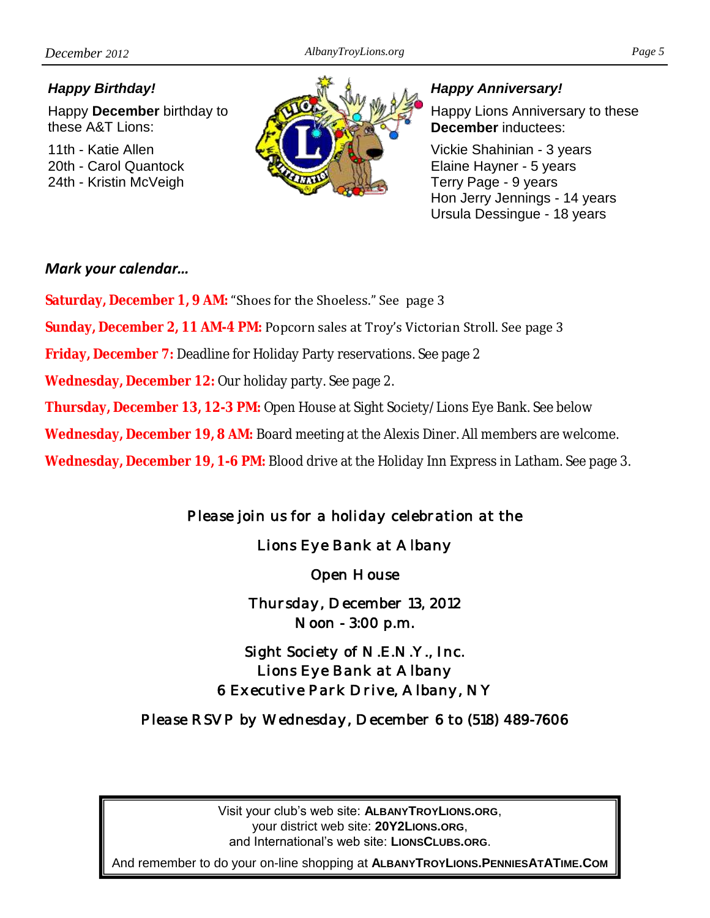#### *Happy Birthday!*

Happy **December** birthday to these A&T Lions:

11th - Katie Allen 20th - Carol Quantock 24th - Kristin McVeigh



#### *Happy Anniversary!*

Happy Lions Anniversary to these **December** inductees:

Vickie Shahinian - 3 years Elaine Hayner - 5 years Terry Page - 9 years Hon Jerry Jennings - 14 years Ursula Dessingue - 18 years

#### *Mark your calendar…*

**Saturday, December 1, 9 AM:** "Shoes for the Shoeless." See page 3

**Sunday, December 2, 11 AM-4 PM:** Popcorn sales at Troy's Victorian Stroll. See page 3

**Friday, December 7:** Deadline for Holiday Party reservations. See page 2

**Wednesday, December 12:** Our holiday party. See page 2.

**Thursday, December 13, 12-3 PM:** Open House at Sight Society/Lions Eye Bank. See below

**Wednesday, December 19, 8 AM:** Board meeting at the Alexis Diner. All members are welcome.

**Wednesday, December 19, 1-6 PM:** Blood drive at the Holiday Inn Express in Latham. See page 3.

*Please join us for a holiday celebration at the* 

*Lions Eye Bank at Albany* 

*Open House* 

*Thursday, December 13, 2012 Noon - 3:00 p.m.* 

*Sight Society of N.E.N.Y., Inc. Lions Eye Bank at Albany 6 Executive Park Drive, Albany, NY* 

*Please RSVP by Wednesday, December 6 to (518) 489-7606* 

Visit your club's web site: **ALBANYTROYLIONS.ORG**, your district web site: **20Y2LIONS.ORG**, and International's web site: **LIONSCLUBS.ORG**.

And remember to do your on-line shopping at **ALBANYTROYLIONS.PENNIESATATIME.COM**